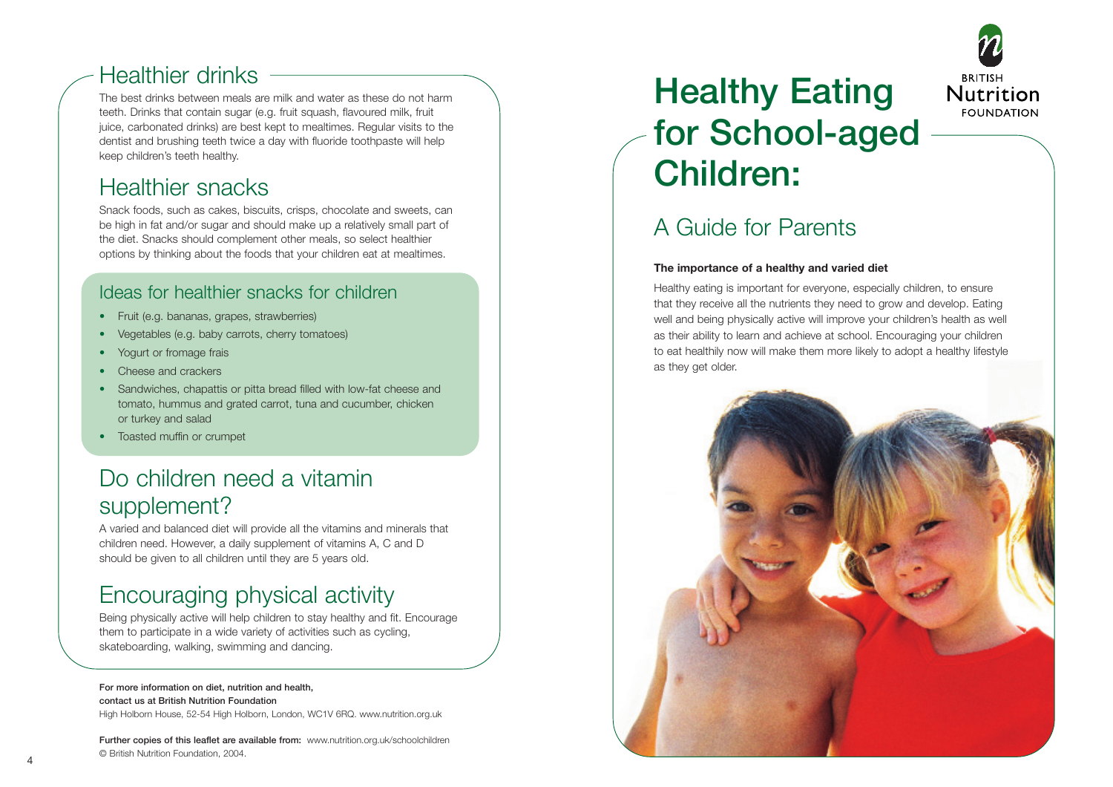## Healthier drinks

The best drinks between meals are milk and water as these do not harm teeth. Drinks that contain sugar (e.g. fruit squash, flavoured milk, fruit juice, carbonated drinks) are best kept to mealtimes. Regular visits to the dentist and brushing teeth twice a day with fluoride toothpaste will help keep children's teeth healthy.

## Healthier snacks

Snack foods, such as cakes, biscuits, crisps, chocolate and sweets, can be high in fat and/or sugar and should make up a relatively small part of the diet. Snacks should complement other meals, so select healthier options by thinking about the foods that your children eat at mealtimes.

### Ideas for healthier snacks for children

- Fruit (e.g. bananas, grapes, strawberries)
- •Vegetables (e.g. baby carrots, cherry tomatoes)
- •Yogurt or fromage frais
- •Cheese and crackers
- • Sandwiches, chapattis or pitta bread filled with low-fat cheese and tomato, hummus and grated carrot, tuna and cucumber, chicken or turkey and salad
- Toasted muffin or crumpet

## Do children need a vitamin supplement?

A varied and balanced diet will provide all the vitamins and minerals that children need. However, a daily supplement of vitamins A, C and D should be given to all children until they are 5 years old.

## Encouraging physical activity

Being physically active will help children to stay healthy and fit. Encourage them to participate in a wide variety of activities such as cycling, skateboarding, walking, swimming and dancing.

#### **For more information on diet, nutrition and health, contact us at British Nutrition Foundation**

High Holborn House, 52-54 High Holborn, London, WC1V 6RQ. www.nutrition.org.uk

**Further copies of this leaflet are available from:** www.nutrition.org.uk/schoolchildren © British Nutrition Foundation, 2004.

# **Healthy Eating for School-aged Children:**

# A Guide for Parents

### **The importance of a healthy and varied diet**

Healthy eating is important for everyone, especially children, to ensure that they receive all the nutrients they need to grow and develop. Eating well and being physically active will improve your children's health as well as their ability to learn and achieve at school. Encouraging your children to eat healthily now will make them more likely to adopt a healthy lifestyle as they get older.

**BRITISH Nutrition FOUNDATION** 





4